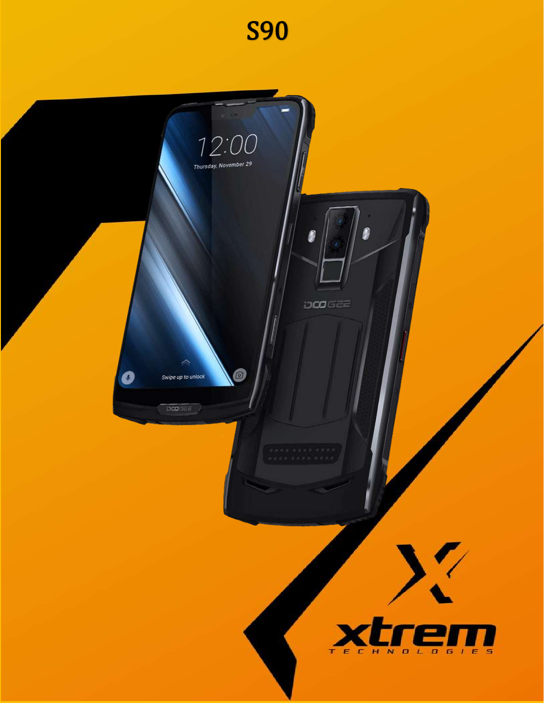

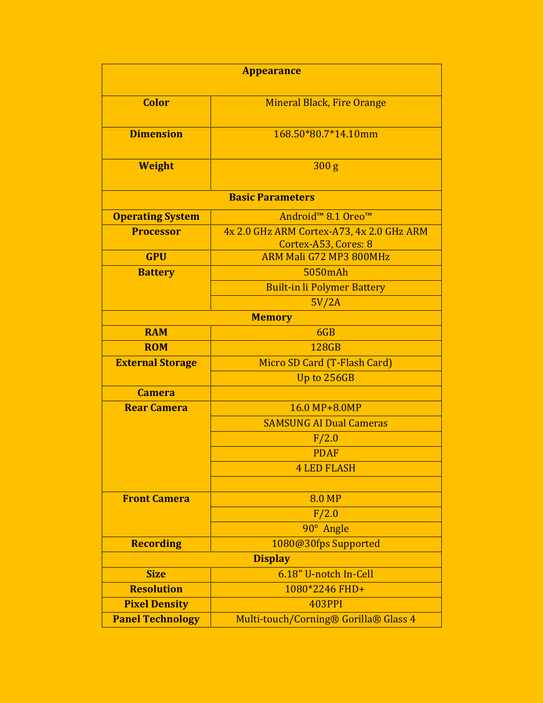| <b>Appearance</b>       |                                                                   |  |
|-------------------------|-------------------------------------------------------------------|--|
| <b>Color</b>            | <b>Mineral Black, Fire Orange</b>                                 |  |
| <b>Dimension</b>        | 168.50*80.7*14.10mm                                               |  |
| <b>Weight</b>           | 300 <sub>g</sub>                                                  |  |
| <b>Basic Parameters</b> |                                                                   |  |
| <b>Operating System</b> | Android <sup>™</sup> 8.1 Oreo <sup>™</sup>                        |  |
| <b>Processor</b>        | 4x 2.0 GHz ARM Cortex-A73, 4x 2.0 GHz ARM<br>Cortex-A53, Cores: 8 |  |
| <b>GPU</b>              | ARM Mali G72 MP3 800MHz                                           |  |
| <b>Battery</b>          | 5050mAh                                                           |  |
|                         | <b>Built-in li Polymer Battery</b>                                |  |
|                         | 5V/2A                                                             |  |
| <b>Memory</b>           |                                                                   |  |
| <b>RAM</b>              | 6GB                                                               |  |
| <b>ROM</b>              | 128GB                                                             |  |
| <b>External Storage</b> | Micro SD Card (T-Flash Card)                                      |  |
|                         | Up to 256GB                                                       |  |
| <b>Camera</b>           |                                                                   |  |
| <b>Rear Camera</b>      | 16.0 MP+8.0MP                                                     |  |
|                         | <b>SAMSUNG AI Dual Cameras</b>                                    |  |
|                         | F/2.0                                                             |  |
|                         | <b>PDAF</b>                                                       |  |
|                         | <b>4 LED FLASH</b>                                                |  |
|                         |                                                                   |  |
| <b>Front Camera</b>     | <b>8.0 MP</b>                                                     |  |
|                         | F/2.0                                                             |  |
|                         | 90° Angle                                                         |  |
| <b>Recording</b>        | 1080@30fps Supported                                              |  |
| <b>Display</b>          |                                                                   |  |
| <b>Size</b>             | 6.18" U-notch In-Cell                                             |  |
| <b>Resolution</b>       | 1080*2246 FHD+                                                    |  |
| <b>Pixel Density</b>    | 403PPI                                                            |  |
| <b>Panel Technology</b> | Multi-touch/Corning® Gorilla® Glass 4                             |  |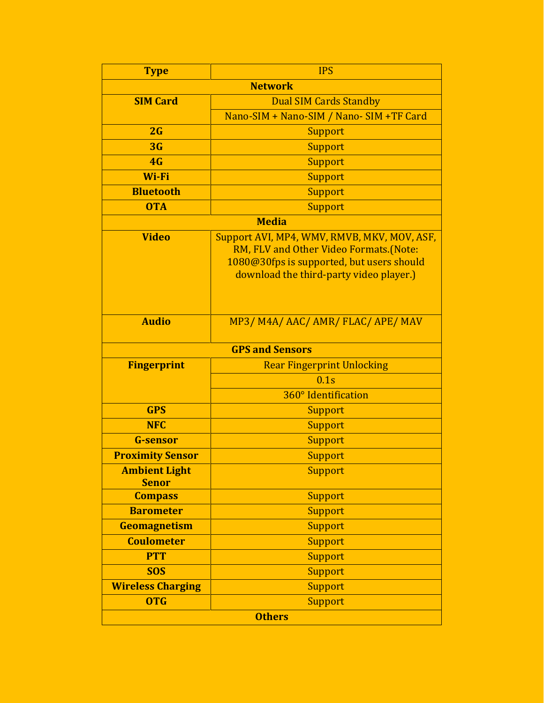| <b>Type</b>                          | <b>IPS</b>                                                                                                                                                                    |  |
|--------------------------------------|-------------------------------------------------------------------------------------------------------------------------------------------------------------------------------|--|
| <b>Network</b>                       |                                                                                                                                                                               |  |
| <b>SIM Card</b>                      | <b>Dual SIM Cards Standby</b>                                                                                                                                                 |  |
|                                      | Nano-SIM + Nano-SIM / Nano-SIM +TF Card                                                                                                                                       |  |
| 2G                                   | <b>Support</b>                                                                                                                                                                |  |
| 3G                                   | Support                                                                                                                                                                       |  |
| 4G                                   | <b>Support</b>                                                                                                                                                                |  |
| Wi-Fi                                | Support                                                                                                                                                                       |  |
| <b>Bluetooth</b>                     | <b>Support</b>                                                                                                                                                                |  |
| <b>OTA</b>                           | Support                                                                                                                                                                       |  |
| <b>Media</b>                         |                                                                                                                                                                               |  |
| <b>Video</b>                         | Support AVI, MP4, WMV, RMVB, MKV, MOV, ASF,<br>RM, FLV and Other Video Formats.(Note:<br>1080@30fps is supported, but users should<br>download the third-party video player.) |  |
| <b>Audio</b>                         | MP3/M4A/AAC/AMR/FLAC/APE/MAV                                                                                                                                                  |  |
| <b>GPS and Sensors</b>               |                                                                                                                                                                               |  |
| <b>Fingerprint</b>                   | <b>Rear Fingerprint Unlocking</b>                                                                                                                                             |  |
|                                      | 0.1s                                                                                                                                                                          |  |
|                                      | 360° Identification                                                                                                                                                           |  |
| <b>GPS</b>                           | Support                                                                                                                                                                       |  |
| <b>NFC</b>                           | <b>Support</b>                                                                                                                                                                |  |
| <b>G-sensor</b>                      | Support                                                                                                                                                                       |  |
| <b>Proximity Sensor</b>              | Support                                                                                                                                                                       |  |
| <b>Ambient Light</b><br><b>Senor</b> | <b>Support</b>                                                                                                                                                                |  |
| <b>Compass</b>                       | Support                                                                                                                                                                       |  |
| <b>Barometer</b>                     | Support                                                                                                                                                                       |  |
| Geomagnetism                         | Support                                                                                                                                                                       |  |
| <b>Coulometer</b>                    | Support                                                                                                                                                                       |  |
| <b>PTT</b>                           | Support                                                                                                                                                                       |  |
| <b>SOS</b>                           | Support                                                                                                                                                                       |  |
| <b>Wireless Charging</b>             | Support                                                                                                                                                                       |  |
| <b>OTG</b>                           | Support                                                                                                                                                                       |  |
| <b>Others</b>                        |                                                                                                                                                                               |  |